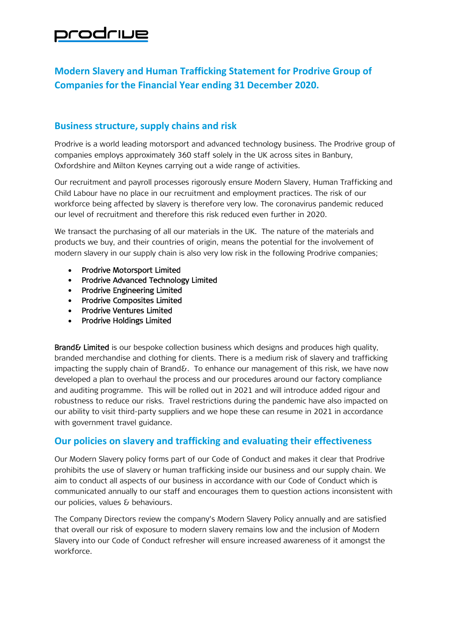## prodriue

## **Modern Slavery and Human Trafficking Statement for Prodrive Group of Companies for the Financial Year ending 31 December 2020.**

## **Business structure, supply chains and risk**

Prodrive is a world leading motorsport and advanced technology business. The Prodrive group of companies employs approximately 360 staff solely in the UK across sites in Banbury, Oxfordshire and Milton Keynes carrying out a wide range of activities.

Our recruitment and payroll processes rigorously ensure Modern Slavery, Human Trafficking and Child Labour have no place in our recruitment and employment practices. The risk of our workforce being affected by slavery is therefore very low. The coronavirus pandemic reduced our level of recruitment and therefore this risk reduced even further in 2020.

We transact the purchasing of all our materials in the UK. The nature of the materials and products we buy, and their countries of origin, means the potential for the involvement of modern slavery in our supply chain is also very low risk in the following Prodrive companies;

- Prodrive Motorsport Limited
- Prodrive Advanced Technology Limited
- Prodrive Engineering Limited
- Prodrive Composites Limited
- Prodrive Ventures Limited
- Prodrive Holdings Limited

Brand& Limited is our bespoke collection business which designs and produces high quality, branded merchandise and clothing for clients. There is a medium risk of slavery and trafficking impacting the supply chain of Brand  $\delta$ . To enhance our management of this risk, we have now developed a plan to overhaul the process and our procedures around our factory compliance and auditing programme. This will be rolled out in 2021 and will introduce added rigour and robustness to reduce our risks. Travel restrictions during the pandemic have also impacted on our ability to visit third-party suppliers and we hope these can resume in 2021 in accordance with government travel guidance.

## **Our policies on slavery and trafficking and evaluating their effectiveness**

Our Modern Slavery policy forms part of our Code of Conduct and makes it clear that Prodrive prohibits the use of slavery or human trafficking inside our business and our supply chain. We aim to conduct all aspects of our business in accordance with our Code of Conduct which is communicated annually to our staff and encourages them to question actions inconsistent with our policies, values & behaviours.

The Company Directors review the company's Modern Slavery Policy annually and are satisfied that overall our risk of exposure to modern slavery remains low and the inclusion of Modern Slavery into our Code of Conduct refresher will ensure increased awareness of it amongst the workforce.